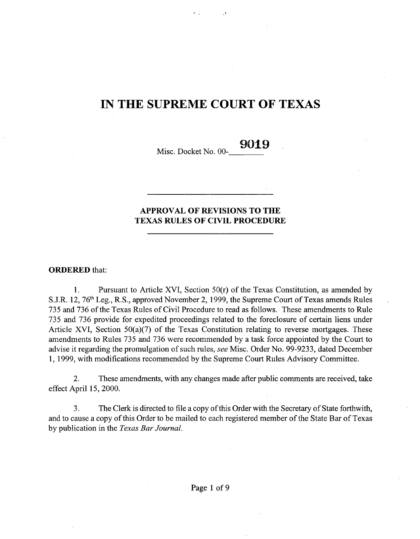# IN THE SUPREME COURT OF TEXAS

Misc. Docket No. 00- **9019**

## APPROVAL **OF REVISIONS TO THE** TEXAS RULES OF CIVIL **PROCEDURE**

### ORDERED that:

1. Pursuant to Article XVI, Section 50(r) of the Texas Constitution, as amended by S.J.R. 12, 76' Leg., R.S., approved November 2, 1999, the Supreme Court of Texas amends Rules 735 and 736 of the Texas Rules of Civil Procedure to read as follows. These amendments to Rule 735 and 736 provide for expedited proceedings related to the foreclosure of certain liens under Article XVI, Section 50(a)(7) of the Texas Constitution relating to reverse mortgages. These amendments to Rules 735 and 736 were recommended by a task force appointed by the Court to advise it regarding the promulgation of such rules, *see* Misc. Order No. 99-9233, dated December 1, 1999, with modifications recommended by the Supreme Court Rules Advisory Committee.

**2. These amendments, with any changes made after public comments are received, take** effect April **15, 2000.**

3. The Clerk is directed to file a copy of this Order with the Secretary of State forthwith, and to cause a copy of this Order to be mailed to each registered member of the State Bar of Texas by publication in the *Texas Bar Journal.*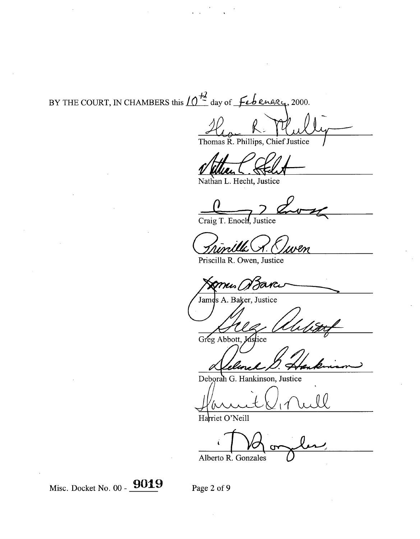BY THE COURT, IN CHAMBERS this  $10^{\frac{12}{2}}$  day of  $\cancel{\pm}$  engry, 2000.

Thomas R. Phillips, Chief Justice

Nathan L. Hecht, **Justice**

Craig T. Enoch, Justice

Priscilla R. Owen, Justice

mus *B*avci

s A. Baker, Justice Jame

Greg Abbott, Justice

Deborah G. Hankinson, Justice

Harriet O'Neill

Alberto R. Gonzales

Misc. Docket No.  $00 - 9019$  Page 2 of 9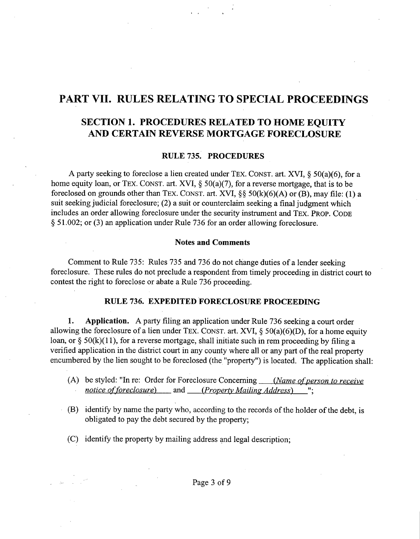## PART VII. RULES RELATING TO SPECIAL **PROCEEDINGS**

## SECTION 1. PROCEDURES RELATED TO HOME EQUITY AND CERTAIN REVERSE MORTGAGE FORECLOSURE

## RULE 735. PROCEDURES

A party seeking **to foreclose a lien created** under TEx. CONST. art. XVI, § 50(a)(6), for a home equity loan, or TEX. CONST. art. XVI, § 50(a)(7), **for a reverse mortgage, that is to be foreclosed on grounds** other than TEx. CONST. art. XVI, §§ 50(k)(6)(A) or (B), may file: (1) a **suit seeking judicial foreclosure;** (**2) a suit or counterclaim seeking a final judgment which includes an order allowing foreclosure under the security instrument** and TEX. PROP. CODE § 51.002; **or (3) an application under Rule** 736 for an **order allowing foreclosure.**

### Notes and Comments

Comment to Rule 735: Rules 735 and 736 do not change duties of a lender seeking foreclosure. These rules do not preclude a respondent from timely proceeding in district court to contest the right to foreclose or abate a Rule 736 proceeding.

#### RULE 736. EXPEDITED FORECLOSURE PROCEEDING

**1. Application.** A party filing an application under Rule 736 seeking a court order allowing the foreclosure of a lien under TEX. CONST. art. XVI,  $\S$  50(a)(6)(D), for a home equity loan, or  $\S$  50(k)(11), for a reverse mortgage, shall initiate such in rem proceeding by filing a verified application in the district court in any county where all or any part of the real property encumbered by the lien sought to be foreclosed (the "property") is located. The application shall:

- (A) be styled: "In re: Order for Foreclosure Concerning *(Name of person to receive notice of foreclosure)* and *(Propertv Mailing Address) "•***^**
- (B) identify by name the party who, according to the records of the holder of the debt, is obligated to pay the debt secured by the property;
- (C) identify the property by mailing address and legal description;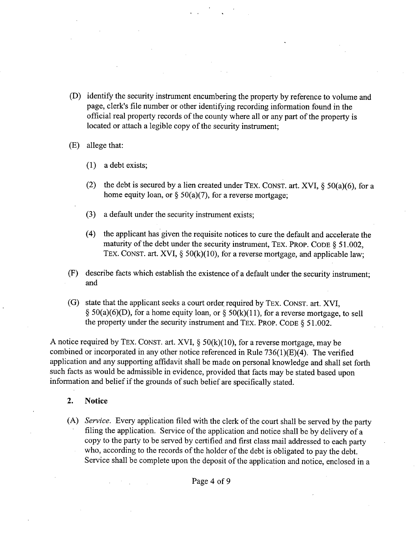- (D) identify the security instrument encumbering the property by reference to volume and page, clerk's file number or other identifying recording information found in the official real property records of the county where all or any part of the property is located or attach a legible copy of the security instrument;
- (E) allege that:
	- (1) a debt exists;
	- (2) the debt **is secured** by a lien created under TEX. CONST. art. XVI, § 50(a)(6), for a home equity **loan,** or § 50(a)(7), for a reverse **mortgage;**
	- (3) a default under the security instrument exists;
	- (4) **the applicant has given the requisite notices to cure the default and accelerate the** maturity of the debt under **the security instrument,** TEx. PROP. CODE § 51.002, TEx. CONST. art. XVI, § 50(k)(10), **for a reverse mortgage, and applicable law;**
- (F) describe facts which establish the existence of a default under the security instrument; and
- **(G) state that the applicant seeks a court order required** by TEX. CONST. art. XVI, § 50(a)(6)(D), for **a home equity loan, or § 50(k)(11), for a reverse mortgage, to sell the property under the security instrument** and TEx. PROP. CODE § 51.002.

A notice required by TEX. CONST. art. XVI,  $\S 50(k)(10)$ , for a reverse mortgage, may be combined or incorporated in any other notice referenced in Rule 736(1)(E)(4). The verified application and any supporting affidavit shall be made on personal knowledge and shall set forth such facts as would be admissible in evidence, provided that facts may be stated based upon information and belief if the grounds of such belief are specifically stated.

## 2. Notice

*(A) Service.* Every application filed with the clerk of the court shall be served by the party filing the application. Service of the application and notice shall be by delivery of a copy to the party to be served by certified and first class mail addressed to each party who, according to the records of the holder of the debt is obligated to pay the debt. Service shall be complete upon the deposit of the application and notice, enclosed in a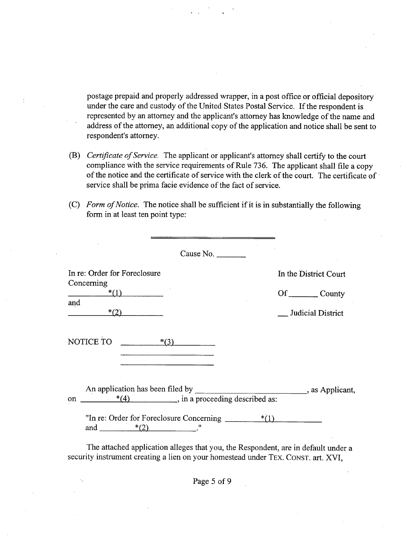postage prepaid and properly addressed wrapper, in a post office or official depository under the care and custody of the United States Postal Service. If the respondent is represented by an attorney and the applicant's attorney has knowledge of the name and address of the attorney, an additional copy of the application and notice shall be sent to respondent's attorney.

- *(B) Certificate of Service.* **The applicant or applicant's attorney shall** certify to **the court compliance with the service requirements** of Rule 736. **The applicant shall file a copy of the notice and the certificate of service with the clerk of the court. The certificate of service shall be prima facie evidence of the fact of service.**
- *(C) Form of Notice.* **The notice shall be sufficient if it is in substantially the following form in at least ten point type:**

| Cause No.                                                                        |                               |
|----------------------------------------------------------------------------------|-------------------------------|
| In re: Order for Foreclosure                                                     | In the District Court         |
| Concerning<br>$*(1)$                                                             | Of _________ County           |
| and<br>$*(2)$                                                                    | _ Judicial District           |
| NOTICE TO<br>$*(3)$                                                              |                               |
| An application has been filed by<br>$*(4)$ , in a proceeding described as:<br>on | $\frac{1}{2}$ , as Applicant, |
| "In re: Order for Foreclosure Concerning $*$ (1)<br>and $*(2)$                   |                               |

The attached application alleges that you, the Respondent, are in default under a security instrument creating a lien on your homestead under TEX. CONST. art. XVI,

Page 5 of 9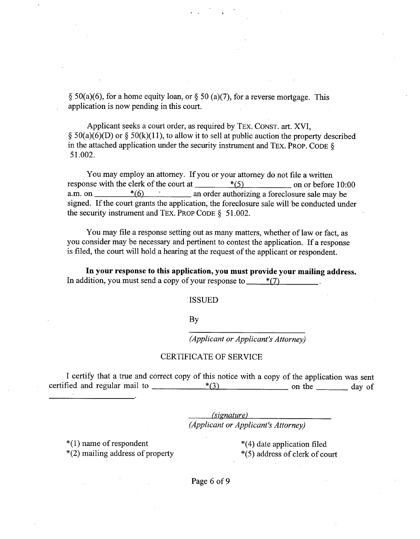§ 50(a)(6), for a home equity loan, or § 50 (a)(7), for a reverse mortgage. This application is now pending in this court.

Applicant seeks a court order, as required by TEX. CONST. art. XVI, § 50(a)(6)(D) or § 50(k)(11), to allow it to sell at public auction the property described in the attached application under the security instrument and TEx. PROP. CODE § 51.002.

You may employ an attorney. If you or your attorney do not file a written response with the clerk of the court at  $*$ (5) on or before 10:00 a.m. on  $\frac{\ast}{6}$   $\frac{\ast}{6}$  an order authorizing a foreclosure sale may be signed. If the court grants the application, the foreclosure sale will be conducted under the security instrument and TEX. PROP CODE § 51.002.

You may file **a response setting out as many matters, whether of law or fact, as you consider may be necessary and pertinent to contest the application. If a response is filed, the court will hold a hearing at the request of the applicant or respondent.**

**In your response to this application, you must provide your mailing address.** In addition, you must send a copy of your response to  $*$ (7)

#### ISSUED

By

*(Applicant or Applicant's Attorney)*

#### CERTIFICATE OF SERVICE

I certify that a true and correct copy of this notice with a copy of the application was sent certified and regular mail to  $\frac{*}{3}$  on the day of  $*(3)$  on the <u>same</u> on the day of

> *(signature) (Applicant or Applicant's Attorney)*

\*(1) name of respondent  $*$ (4) date application filed<br>\*(2) mailing address of property  $*$ (5) address of clerk of co

 $*(5)$  address of clerk of court

Page 6 of 9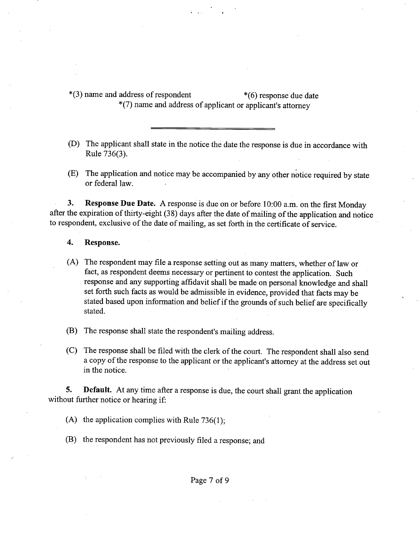\*(3) name and address of respondent \*(6) response due date \*(7) name and address of applicant or applicant's attorney

- (D) The applicant shall state in the notice the date the response is due in accordance with Rule 736(3).
- (E) The application and notice may be accompanied by any other notice required by state or federal law.

**3. Response Due Date.** A response is due on or before 10:00 a.m. on the first Monday after the expiration of thirty-eight (38) days after the date of mailing of the application and notice to respondent, exclusive of the date of mailing, as set forth in the certificate of service.

#### 4. Response.

- (A) The respondent may file a response setting out as many matters, whether of law or fact, as respondent deems necessary or pertinent to contest the application. Such response and any supporting affidavit shall be made on personal knowledge and shall set forth such facts as would be admissible in evidence, provided that facts may be stated based upon information and belief if the grounds of such belief are specifically stated.
- (B) The response shall state the respondent's mailing address.
- (C) The response shall be filed with the clerk of the court. The respondent shall also send a copy of the response to the applicant or the applicant's attorney at the address set out in the notice.

**5. Default.** At any time after a response is due, the court shall grant the application without further notice or hearing if:

- (A) the application complies with Rule 736(1);
- **(B) the respondent has not previously** filed **a response; and**

Page 7 of 9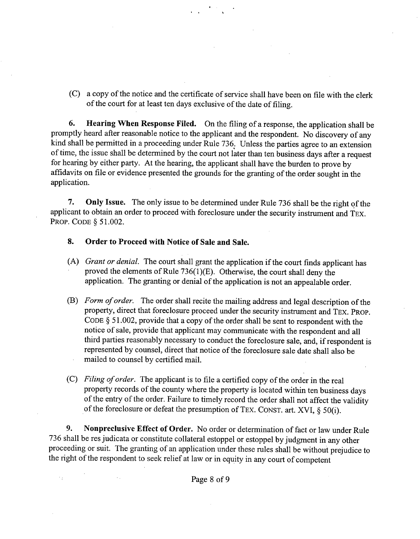(C) a copy of the notice and the certificate of service shall have been on file with the clerk of the court for at least ten days exclusive of the date of filing.

**6. Hearing When Response Filed.** On the filing of a response, the application shall be promptly heard after reasonable notice to the applicant and the respondent. No discovery of any kind shall be permitted in a proceeding under Rule 736. Unless the parties agree to an extension of time, the issue shall be determined by the court not later than ten business days after a request for hearing by either party. At the hearing, the applicant shall have the burden to prove by affidavits on file or evidence presented the grounds for the granting of the order sought in the application.

7. Only **Issue.** The only issue to be determined under Rule 736 shall be the right of the applicant to obtain an order to proceed with foreclosure under the security instrument and TEX. PROP. CODE § 51.002.

8. Order to Proceed with Notice of **Sale and Sale.**

 $\mathcal{S}_2$ 

- *(A) Grant or denial.* The court shall grant the application if the court finds applicant has proved the elements of Rule 736(1)(E). Otherwise, the court shall deny the application. The granting or denial of the application is not an appealable order.
- *(B) Form of order.* The order shall recite the mailing address and legal description of the property, direct that foreclosure proceed under the security instrument and TEX. PROP. CODE § 51.002, provide that a copy of the order shall be sent to respondent with the notice of sale, provide that applicant may communicate with the respondent and all third parties reasonably necessary to conduct the foreclosure sale, and, if respondent is represented by counsel, direct that notice of the foreclosure sale date shall also be mailed to counsel by certified mail.
- *(C) Filing of order.* The applicant is to file a certified copy of the order in the real property records of the county where the property is located within ten business days of the entry of the order. Failure to timely record the order shall not affect the validity of the foreclosure or defeat the presumption of TEX. CONST. art. XVI, § 50(i).

**9. Nonpreclusive** Effect of Order. No order or determination of fact or law under Rule 736 shall be res judicata or constitute collateral estoppel or estoppel by judgment in any other proceeding or suit. The granting of an application under these rules shall be without prejudice to the right of the respondent to seek relief at law or in equity in any court of competent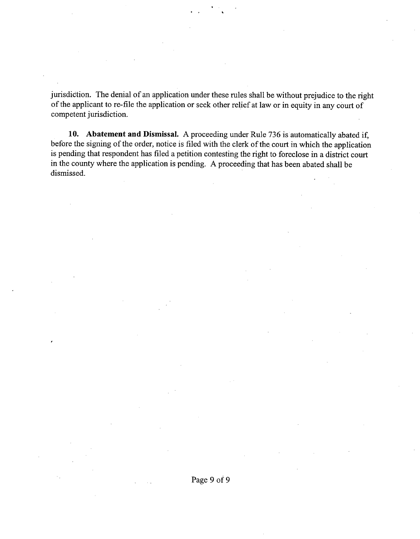jurisdiction. The denial of an application under these rules shall be without prejudice to the right of the applicant to re-file the application or seek other relief at law or in equity in any court of competent jurisdiction.

**10. Abatement and Dismissal.** A proceeding under Rule 736 is automatically abated if, before the signing of the order, notice is filed with the clerk of the court in which the application is pending that respondent has filed a petition contesting the right to foreclose in a district court in the county where the application is pending. A proceeding that has been abated shall be dismissed.

Page 9 of 9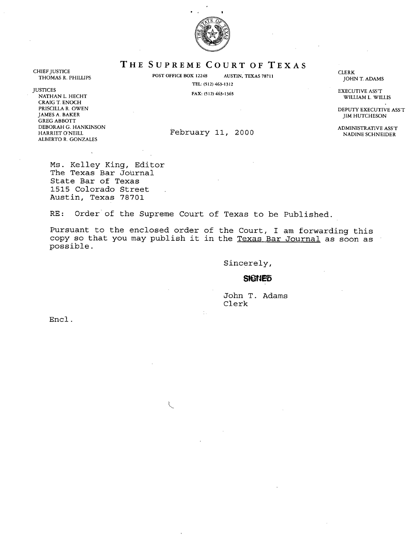

**THE SUPREME** COURT OF TEXAS

THOMAS R. PHILLIPS **POST OFFICE BOX 12248** AUSTIN, **TEXAS 78711** TEL: (512) 463-1312

CLERK JOHN T. ADAMS

WILLIAM L. WILLIS

JIM HUTCHESON

CHIEF JUSTICE

JUSTICES EXECUTIVE ASS'T **NATHAN L. HECHT** CRAIG T. ENOCH<br>PRISCILLA R. OWEN PRISCILLA R. OWEN DEPUTY EXECUTIVE ASS'T NAMES A. BAKER AND THE RESULTION OF THE RESULTION OF THE RESULTION OF THE RESULTION OF THE RESULTION OF THE RESULTION OF THE RESULTION OF THE RESULTION OF THE RESULTION OF THE RESUL GREG ABBOTT DEBORAH G. HANKINSON ADMINISTRATIVE ASS'T **ALBERTO R.** GONZALES

February 11, 2000

Ms. Kelley King, Editor The Texas Bar Journal State Bar of Texas 1515 Colorado Street Austin, Texas 78701

 $\ddot{\phantom{a}}$ 

RE: Order of the Supreme Court of Texas to be Published.

Pursuant to the enclosed order of the Court, I am forwarding this copy so that you may publish it in the Texas Bar Journal **as soon as** possible.

Sincerely,

#### **SIGNED**

John T. Adams Clerk

Encl.